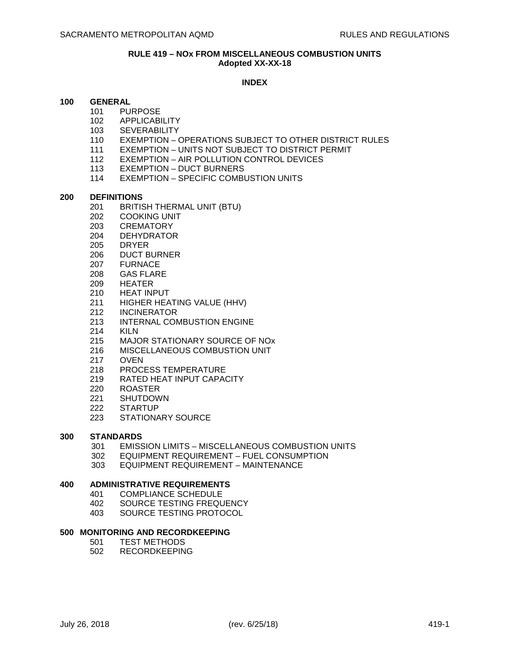#### **RULE 419 – NOx FROM MISCELLANEOUS COMBUSTION UNITS Adopted XX-XX-18**

# **INDEX**

## **100 GENERAL**

- 101 PURPOSE
- 102 APPLICABILITY
- 103 SEVERABILITY
- 110 EXEMPTION OPERATIONS SUBJECT TO OTHER DISTRICT RULES
- 111 EXEMPTION UNITS NOT SUBJECT TO DISTRICT PERMIT
- 112 EXEMPTION AIR POLLUTION CONTROL DEVICES
- 113 EXEMPTION DUCT BURNERS
- 114 EXEMPTION SPECIFIC COMBUSTION UNITS

## **200 DEFINITIONS**

- 201 BRITISH THERMAL UNIT (BTU)
- 202 COOKING UNIT
- 203 CREMATORY
- 204 DEHYDRATOR
- 205 DRYER
- 206 DUCT BURNER
- 207 FURNACE
- 208 GAS FLARE
- 209 HEATER
- 210 HEAT INPUT
- 211 HIGHER HEATING VALUE (HHV)
- 212 INCINERATOR
- 213 INTERNAL COMBUSTION ENGINE
- 214 KILN
- 215 MAJOR STATIONARY SOURCE OF NOx
- 216 MISCELLANEOUS COMBUSTION UNIT
- 217 OVEN
- 218 PROCESS TEMPERATURE
- 219 RATED HEAT INPUT CAPACITY
- 220 ROASTER
- 221 SHUTDOWN<br>222 STARTUP
- **STARTUP**
- 223 STATIONARY SOURCE

# **300 STANDARDS**

- 301 EMISSION LIMITS MISCELLANEOUS COMBUSTION UNITS
- 302 EQUIPMENT REQUIREMENT FUEL CONSUMPTION
- 303 EQUIPMENT REQUIREMENT MAINTENANCE

#### **400 ADMINISTRATIVE REQUIREMENTS**

- 401 COMPLIANCE SCHEDULE
	- 402 SOURCE TESTING FREQUENCY<br>403 SOURCE TESTING PROTOCOL
	- SOURCE TESTING PROTOCOL

# **500 MONITORING AND RECORDKEEPING**

- 501 TEST METHODS
- 502 RECORDKEEPING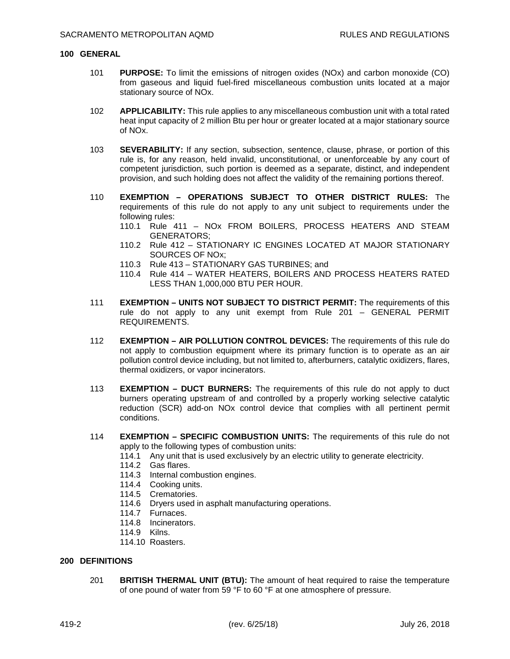#### **100 GENERAL**

- 101 **PURPOSE:** To limit the emissions of nitrogen oxides (NOx) and carbon monoxide (CO) from gaseous and liquid fuel-fired miscellaneous combustion units located at a major stationary source of NOx.
- 102 **APPLICABILITY:** This rule applies to any miscellaneous combustion unit with a total rated heat input capacity of 2 million Btu per hour or greater located at a major stationary source of NOx.
- 103 **SEVERABILITY:** If any section, subsection, sentence, clause, phrase, or portion of this rule is, for any reason, held invalid, unconstitutional, or unenforceable by any court of competent jurisdiction, such portion is deemed as a separate, distinct, and independent provision, and such holding does not affect the validity of the remaining portions thereof.
- 110 **EXEMPTION OPERATIONS SUBJECT TO OTHER DISTRICT RULES:** The requirements of this rule do not apply to any unit subject to requirements under the following rules:
	- 110.1 Rule 411 NOx FROM BOILERS, PROCESS HEATERS AND STEAM GENERATORS;
	- 110.2 Rule 412 STATIONARY IC ENGINES LOCATED AT MAJOR STATIONARY SOURCES OF NOx;
	- 110.3 Rule 413 STATIONARY GAS TURBINES; and
	- 110.4 Rule 414 WATER HEATERS, BOILERS AND PROCESS HEATERS RATED LESS THAN 1,000,000 BTU PER HOUR.
- 111 **EXEMPTION UNITS NOT SUBJECT TO DISTRICT PERMIT:** The requirements of this rule do not apply to any unit exempt from Rule 201 – GENERAL PERMIT REQUIREMENTS.
- 112 **EXEMPTION AIR POLLUTION CONTROL DEVICES:** The requirements of this rule do not apply to combustion equipment where its primary function is to operate as an air pollution control device including, but not limited to, afterburners, catalytic oxidizers, flares, thermal oxidizers, or vapor incinerators.
- 113 **EXEMPTION DUCT BURNERS:** The requirements of this rule do not apply to duct burners operating upstream of and controlled by a properly working selective catalytic reduction (SCR) add-on NOx control device that complies with all pertinent permit conditions.
- 114 **EXEMPTION SPECIFIC COMBUSTION UNITS:** The requirements of this rule do not apply to the following types of combustion units:
	- 114.1 Any unit that is used exclusively by an electric utility to generate electricity.
	- 114.2 Gas flares.
	- 114.3 Internal combustion engines.
	- 114.4 Cooking units.
	- 114.5 Crematories.
	- 114.6 Dryers used in asphalt manufacturing operations.
	- 114.7 Furnaces.
	- 114.8 Incinerators.
	- 114.9 Kilns.
	- 114.10 Roasters.

#### **200 DEFINITIONS**

201 **BRITISH THERMAL UNIT (BTU):** The amount of heat required to raise the temperature of one pound of water from 59 °F to 60 °F at one atmosphere of pressure.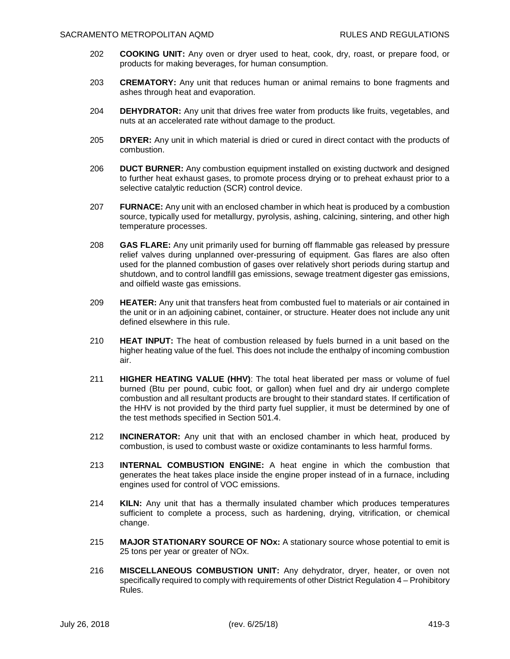- 202 **COOKING UNIT:** Any oven or dryer used to heat, cook, dry, roast, or prepare food, or products for making beverages, for human consumption.
- 203 **CREMATORY:** Any unit that reduces human or animal remains to bone fragments and ashes through heat and evaporation.
- 204 **DEHYDRATOR:** Any unit that drives free water from products like fruits, vegetables, and nuts at an accelerated rate without damage to the product.
- 205 **DRYER:** Any unit in which material is dried or cured in direct contact with the products of combustion.
- 206 **DUCT BURNER:** Any combustion equipment installed on existing ductwork and designed to further heat exhaust gases, to promote process drying or to preheat exhaust prior to a selective catalytic reduction (SCR) control device.
- 207 **FURNACE:** Any unit with an enclosed chamber in which heat is produced by a combustion source, typically used for metallurgy, pyrolysis, ashing, calcining, sintering, and other high temperature processes.
- 208 **GAS FLARE:** Any unit primarily used for burning off flammable gas released by pressure relief valves during unplanned over-pressuring of equipment. Gas flares are also often used for the planned combustion of gases over relatively short periods during startup and shutdown, and to control landfill gas emissions, sewage treatment digester gas emissions, and oilfield waste gas emissions.
- 209 **HEATER:** Any unit that transfers heat from combusted fuel to materials or air contained in the unit or in an adjoining cabinet, container, or structure. Heater does not include any unit defined elsewhere in this rule.
- 210 **HEAT INPUT:** The heat of combustion released by fuels burned in a unit based on the higher heating value of the fuel. This does not include the enthalpy of incoming combustion air.
- 211 **HIGHER HEATING VALUE (HHV)**: The total heat liberated per mass or volume of fuel burned (Btu per pound, cubic foot, or gallon) when fuel and dry air undergo complete combustion and all resultant products are brought to their standard states. If certification of the HHV is not provided by the third party fuel supplier, it must be determined by one of the test methods specified in Section 501.4.
- 212 **INCINERATOR:** Any unit that with an enclosed chamber in which heat, produced by combustion, is used to combust waste or oxidize contaminants to less harmful forms.
- 213 **INTERNAL COMBUSTION ENGINE:** A heat engine in which the combustion that generates the heat takes place inside the engine proper instead of in a furnace, including engines used for control of VOC emissions.
- 214 **KILN:** Any unit that has a thermally insulated chamber which produces temperatures sufficient to complete a process, such as hardening, drying, vitrification, or chemical change.
- 215 **MAJOR STATIONARY SOURCE OF NOx:** A stationary source whose potential to emit is 25 tons per year or greater of NOx.
- 216 **MISCELLANEOUS COMBUSTION UNIT:** Any dehydrator, dryer, heater, or oven not specifically required to comply with requirements of other District Regulation 4 – Prohibitory Rules.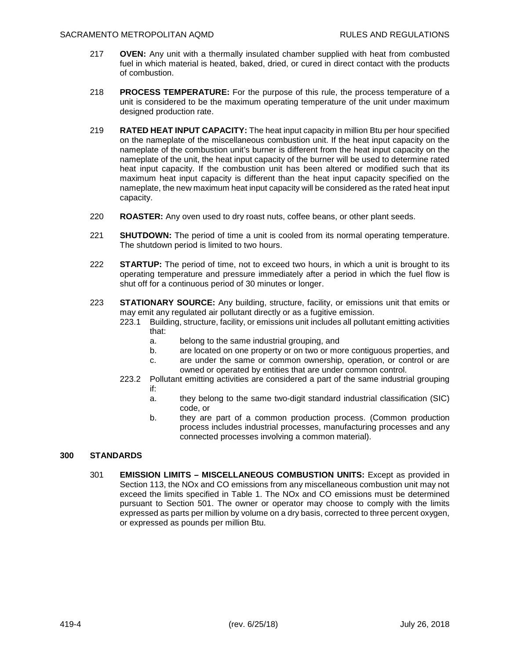- 217 **OVEN:** Any unit with a thermally insulated chamber supplied with heat from combusted fuel in which material is heated, baked, dried, or cured in direct contact with the products of combustion.
- 218 **PROCESS TEMPERATURE:** For the purpose of this rule, the process temperature of a unit is considered to be the maximum operating temperature of the unit under maximum designed production rate.
- 219 **RATED HEAT INPUT CAPACITY:** The heat input capacity in million Btu per hour specified on the nameplate of the miscellaneous combustion unit. If the heat input capacity on the nameplate of the combustion unit's burner is different from the heat input capacity on the nameplate of the unit, the heat input capacity of the burner will be used to determine rated heat input capacity. If the combustion unit has been altered or modified such that its maximum heat input capacity is different than the heat input capacity specified on the nameplate, the new maximum heat input capacity will be considered as the rated heat input capacity.
- 220 **ROASTER:** Any oven used to dry roast nuts, coffee beans, or other plant seeds.
- 221 **SHUTDOWN:** The period of time a unit is cooled from its normal operating temperature. The shutdown period is limited to two hours.
- 222 **STARTUP:** The period of time, not to exceed two hours, in which a unit is brought to its operating temperature and pressure immediately after a period in which the fuel flow is shut off for a continuous period of 30 minutes or longer.
- 223 **STATIONARY SOURCE:** Any building, structure, facility, or emissions unit that emits or may emit any regulated air pollutant directly or as a fugitive emission.
	- 223.1 Building, structure, facility, or emissions unit includes all pollutant emitting activities that:
		- a. belong to the same industrial grouping, and
		- b. are located on one property or on two or more contiguous properties, and
		- c. are under the same or common ownership, operation, or control or are owned or operated by entities that are under common control.
	- 223.2 Pollutant emitting activities are considered a part of the same industrial grouping if:
		- a. they belong to the same two-digit standard industrial classification (SIC) code, or
		- b. they are part of a common production process. (Common production process includes industrial processes, manufacturing processes and any connected processes involving a common material).

# **300 STANDARDS**

301 **EMISSION LIMITS – MISCELLANEOUS COMBUSTION UNITS:** Except as provided in Section 113, the NOx and CO emissions from any miscellaneous combustion unit may not exceed the limits specified in Table 1. The NOx and CO emissions must be determined pursuant to Section 501. The owner or operator may choose to comply with the limits expressed as parts per million by volume on a dry basis, corrected to three percent oxygen, or expressed as pounds per million Btu.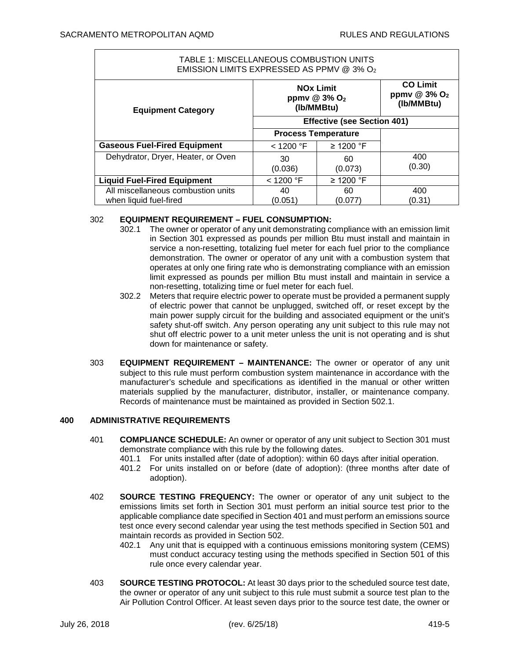$\Gamma$ 

| TABLE 1: MISCELLANEOUS COMBUSTION UNITS<br>EMISSION LIMITS EXPRESSED AS PPMV @ 3% O2 |                                                                       |               |                                                             |
|--------------------------------------------------------------------------------------|-----------------------------------------------------------------------|---------------|-------------------------------------------------------------|
| <b>Equipment Category</b>                                                            | <b>NO<sub>x</sub></b> Limit<br>ppmv @ 3% O <sub>2</sub><br>(Ib/MMBtu) |               | <b>CO Limit</b><br>ppmv $@3\%$ O <sub>2</sub><br>(Ib/MMBtu) |
|                                                                                      | <b>Effective (see Section 401)</b>                                    |               |                                                             |
|                                                                                      | <b>Process Temperature</b>                                            |               |                                                             |
| <b>Gaseous Fuel-Fired Equipment</b>                                                  | $<$ 1200 °F                                                           | ≥ 1200 °F     |                                                             |
| Dehydrator, Dryer, Heater, or Oven                                                   | 30<br>(0.036)                                                         | 60<br>(0.073) | 400<br>(0.30)                                               |
| <b>Liquid Fuel-Fired Equipment</b>                                                   | $<$ 1200 °F                                                           | ≥ 1200 °F     |                                                             |
| All miscellaneous combustion units<br>when liquid fuel-fired                         | 40<br>(0.051)                                                         | 60<br>(0.077) | 400<br>(0.31)                                               |

# 302 **EQUIPMENT REQUIREMENT – FUEL CONSUMPTION:**

- 302.1 The owner or operator of any unit demonstrating compliance with an emission limit in Section 301 expressed as pounds per million Btu must install and maintain in service a non-resetting, totalizing fuel meter for each fuel prior to the compliance demonstration. The owner or operator of any unit with a combustion system that operates at only one firing rate who is demonstrating compliance with an emission limit expressed as pounds per million Btu must install and maintain in service a non-resetting, totalizing time or fuel meter for each fuel.
- 302.2 Meters that require electric power to operate must be provided a permanent supply of electric power that cannot be unplugged, switched off, or reset except by the main power supply circuit for the building and associated equipment or the unit's safety shut-off switch. Any person operating any unit subject to this rule may not shut off electric power to a unit meter unless the unit is not operating and is shut down for maintenance or safety.
- 303 **EQUIPMENT REQUIREMENT MAINTENANCE:** The owner or operator of any unit subject to this rule must perform combustion system maintenance in accordance with the manufacturer's schedule and specifications as identified in the manual or other written materials supplied by the manufacturer, distributor, installer, or maintenance company. Records of maintenance must be maintained as provided in Section 502.1.

# **400 ADMINISTRATIVE REQUIREMENTS**

- 401 **COMPLIANCE SCHEDULE:** An owner or operator of any unit subject to Section 301 must demonstrate compliance with this rule by the following dates.
	- 401.1 For units installed after (date of adoption): within 60 days after initial operation.
	- 401.2 For units installed on or before (date of adoption): (three months after date of adoption).
- 402 **SOURCE TESTING FREQUENCY:** The owner or operator of any unit subject to the emissions limits set forth in Section 301 must perform an initial source test prior to the applicable compliance date specified in Section 401 and must perform an emissions source test once every second calendar year using the test methods specified in Section 501 and maintain records as provided in Section 502.
	- 402.1 Any unit that is equipped with a continuous emissions monitoring system (CEMS) must conduct accuracy testing using the methods specified in Section 501 of this rule once every calendar year.
- 403 **SOURCE TESTING PROTOCOL:** At least 30 days prior to the scheduled source test date, the owner or operator of any unit subject to this rule must submit a source test plan to the Air Pollution Control Officer. At least seven days prior to the source test date, the owner or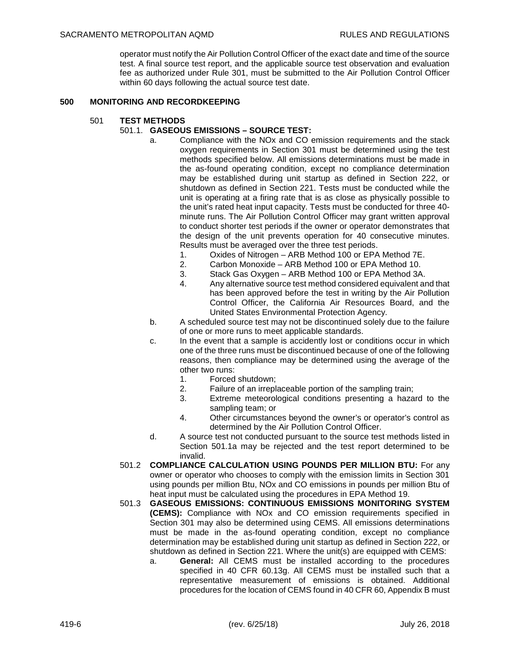operator must notify the Air Pollution Control Officer of the exact date and time of the source test. A final source test report, and the applicable source test observation and evaluation fee as authorized under Rule 301, must be submitted to the Air Pollution Control Officer within 60 days following the actual source test date.

# **500 MONITORING AND RECORDKEEPING**

501 **TEST METHODS**

## 501.1. **GASEOUS EMISSIONS – SOURCE TEST:**

- a. Compliance with the NOx and CO emission requirements and the stack oxygen requirements in Section 301 must be determined using the test methods specified below. All emissions determinations must be made in the as-found operating condition, except no compliance determination may be established during unit startup as defined in Section 222, or shutdown as defined in Section 221. Tests must be conducted while the unit is operating at a firing rate that is as close as physically possible to the unit's rated heat input capacity. Tests must be conducted for three 40 minute runs. The Air Pollution Control Officer may grant written approval to conduct shorter test periods if the owner or operator demonstrates that the design of the unit prevents operation for 40 consecutive minutes. Results must be averaged over the three test periods.
	- 1. Oxides of Nitrogen ARB Method 100 or EPA Method 7E.
	- 2. Carbon Monoxide ARB Method 100 or EPA Method 10.
	- 3. Stack Gas Oxygen ARB Method 100 or EPA Method 3A.
	- 4. Any alternative source test method considered equivalent and that has been approved before the test in writing by the Air Pollution Control Officer, the California Air Resources Board, and the United States Environmental Protection Agency.
- b. A scheduled source test may not be discontinued solely due to the failure of one or more runs to meet applicable standards.
- c. In the event that a sample is accidently lost or conditions occur in which one of the three runs must be discontinued because of one of the following reasons, then compliance may be determined using the average of the other two runs:
	- 1. Forced shutdown;
	- 2. Failure of an irreplaceable portion of the sampling train;
	- 3. Extreme meteorological conditions presenting a hazard to the sampling team; or
	- 4. Other circumstances beyond the owner's or operator's control as determined by the Air Pollution Control Officer.
- d. A source test not conducted pursuant to the source test methods listed in Section 501.1a may be rejected and the test report determined to be invalid.
- 501.2 **COMPLIANCE CALCULATION USING POUNDS PER MILLION BTU:** For any owner or operator who chooses to comply with the emission limits in Section 301 using pounds per million Btu, NOx and CO emissions in pounds per million Btu of heat input must be calculated using the procedures in EPA Method 19.
- 501.3 **GASEOUS EMISSIONS: CONTINUOUS EMISSIONS MONITORING SYSTEM (CEMS):** Compliance with NOx and CO emission requirements specified in Section 301 may also be determined using CEMS. All emissions determinations must be made in the as-found operating condition, except no compliance determination may be established during unit startup as defined in Section 222, or shutdown as defined in Section 221. Where the unit(s) are equipped with CEMS:
	- a. **General:** All CEMS must be installed according to the procedures specified in 40 CFR 60.13g. All CEMS must be installed such that a representative measurement of emissions is obtained. Additional procedures for the location of CEMS found in 40 CFR 60, Appendix B must